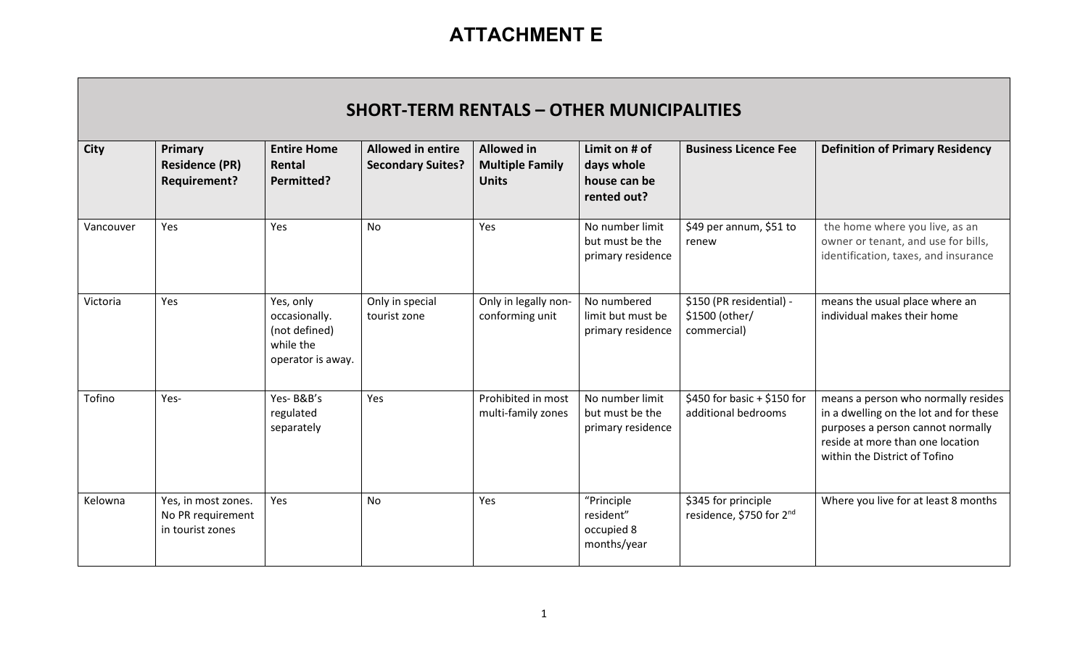## **ATTACHMENT E**

| <b>SHORT-TERM RENTALS - OTHER MUNICIPALITIES</b> |                                                              |                                                                               |                                                      |                                                             |                                                            |                                                             |                                                                                                                                                                                         |
|--------------------------------------------------|--------------------------------------------------------------|-------------------------------------------------------------------------------|------------------------------------------------------|-------------------------------------------------------------|------------------------------------------------------------|-------------------------------------------------------------|-----------------------------------------------------------------------------------------------------------------------------------------------------------------------------------------|
| City                                             | Primary<br><b>Residence (PR)</b><br><b>Requirement?</b>      | <b>Entire Home</b><br>Rental<br>Permitted?                                    | <b>Allowed in entire</b><br><b>Secondary Suites?</b> | <b>Allowed in</b><br><b>Multiple Family</b><br><b>Units</b> | Limit on # of<br>days whole<br>house can be<br>rented out? | <b>Business Licence Fee</b>                                 | <b>Definition of Primary Residency</b>                                                                                                                                                  |
| Vancouver                                        | Yes                                                          | Yes                                                                           | <b>No</b>                                            | Yes                                                         | No number limit<br>but must be the<br>primary residence    | \$49 per annum, \$51 to<br>renew                            | the home where you live, as an<br>owner or tenant, and use for bills,<br>identification, taxes, and insurance                                                                           |
| Victoria                                         | Yes                                                          | Yes, only<br>occasionally.<br>(not defined)<br>while the<br>operator is away. | Only in special<br>tourist zone                      | Only in legally non-<br>conforming unit                     | No numbered<br>limit but must be<br>primary residence      | \$150 (PR residential) -<br>\$1500 (other/<br>commercial)   | means the usual place where an<br>individual makes their home                                                                                                                           |
| Tofino                                           | Yes-                                                         | Yes-B&B's<br>regulated<br>separately                                          | Yes                                                  | Prohibited in most<br>multi-family zones                    | No number limit<br>but must be the<br>primary residence    | \$450 for basic + \$150 for<br>additional bedrooms          | means a person who normally resides<br>in a dwelling on the lot and for these<br>purposes a person cannot normally<br>reside at more than one location<br>within the District of Tofino |
| Kelowna                                          | Yes, in most zones.<br>No PR requirement<br>in tourist zones | Yes                                                                           | No                                                   | Yes                                                         | "Principle<br>resident"<br>occupied 8<br>months/year       | \$345 for principle<br>residence, \$750 for 2 <sup>nd</sup> | Where you live for at least 8 months                                                                                                                                                    |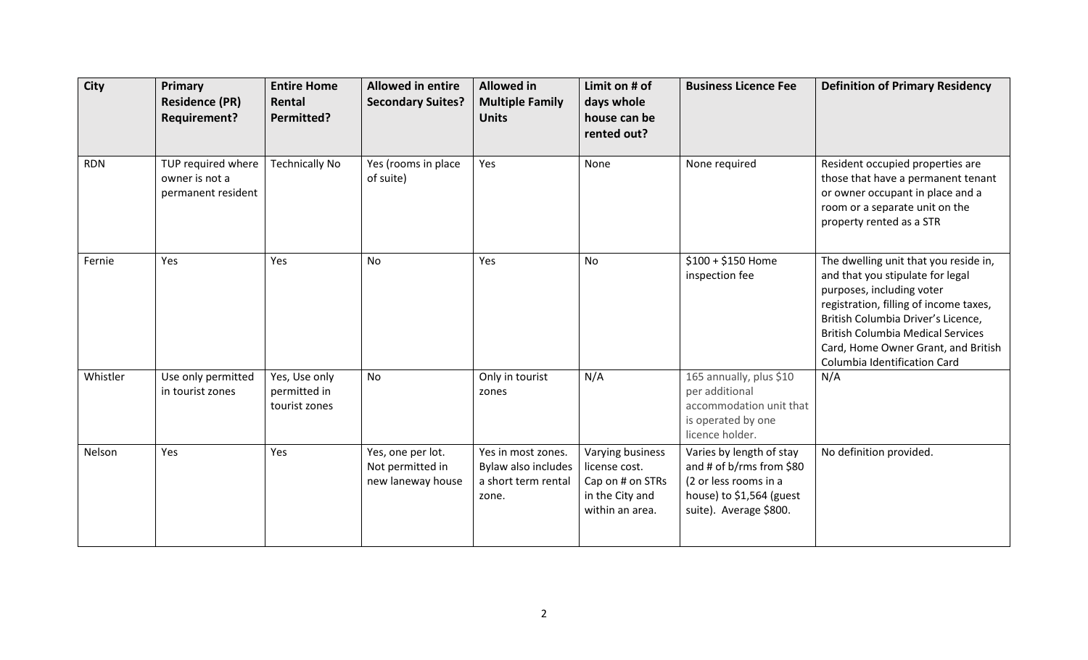| <b>City</b> | Primary<br><b>Residence (PR)</b><br><b>Requirement?</b>    | <b>Entire Home</b><br>Rental<br>Permitted?     | <b>Allowed in entire</b><br><b>Secondary Suites?</b>       | <b>Allowed in</b><br><b>Multiple Family</b><br><b>Units</b>               | Limit on # of<br>days whole<br>house can be<br>rented out?                                  | <b>Business Licence Fee</b>                                                                                                         | <b>Definition of Primary Residency</b>                                                                                                                                                                                                                                                                    |
|-------------|------------------------------------------------------------|------------------------------------------------|------------------------------------------------------------|---------------------------------------------------------------------------|---------------------------------------------------------------------------------------------|-------------------------------------------------------------------------------------------------------------------------------------|-----------------------------------------------------------------------------------------------------------------------------------------------------------------------------------------------------------------------------------------------------------------------------------------------------------|
| <b>RDN</b>  | TUP required where<br>owner is not a<br>permanent resident | <b>Technically No</b>                          | Yes (rooms in place<br>of suite)                           | Yes                                                                       | None                                                                                        | None required                                                                                                                       | Resident occupied properties are<br>those that have a permanent tenant<br>or owner occupant in place and a<br>room or a separate unit on the<br>property rented as a STR                                                                                                                                  |
| Fernie      | Yes                                                        | Yes                                            | <b>No</b>                                                  | Yes                                                                       | <b>No</b>                                                                                   | $$100 + $150$ Home<br>inspection fee                                                                                                | The dwelling unit that you reside in,<br>and that you stipulate for legal<br>purposes, including voter<br>registration, filling of income taxes,<br>British Columbia Driver's Licence,<br><b>British Columbia Medical Services</b><br>Card, Home Owner Grant, and British<br>Columbia Identification Card |
| Whistler    | Use only permitted<br>in tourist zones                     | Yes, Use only<br>permitted in<br>tourist zones | No                                                         | Only in tourist<br>zones                                                  | N/A                                                                                         | 165 annually, plus \$10<br>per additional<br>accommodation unit that<br>is operated by one<br>licence holder.                       | N/A                                                                                                                                                                                                                                                                                                       |
| Nelson      | Yes                                                        | Yes                                            | Yes, one per lot.<br>Not permitted in<br>new laneway house | Yes in most zones.<br>Bylaw also includes<br>a short term rental<br>zone. | Varying business<br>license cost.<br>Cap on # on STRs<br>in the City and<br>within an area. | Varies by length of stay<br>and # of b/rms from \$80<br>(2 or less rooms in a<br>house) to \$1,564 (guest<br>suite). Average \$800. | No definition provided.                                                                                                                                                                                                                                                                                   |